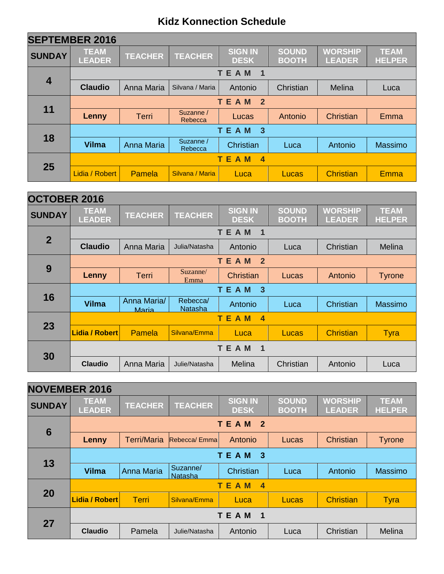| <b>SEPTEMBER 2016</b>   |                               |                                        |                      |                                 |                              |                                 |                              |  |  |
|-------------------------|-------------------------------|----------------------------------------|----------------------|---------------------------------|------------------------------|---------------------------------|------------------------------|--|--|
| <b>SUNDAY</b>           | <b>TEAM</b><br><b>LEADER</b>  | <b>TEACHER</b>                         | <b>TEACHER</b>       | <b>SIGN IN</b><br><b>DESK</b>   | <b>SOUND</b><br><b>BOOTH</b> | <b>WORSHIP</b><br><b>LEADER</b> | <b>TEAM</b><br><b>HELPER</b> |  |  |
|                         |                               |                                        |                      | <b>TEAM</b><br>1                |                              |                                 |                              |  |  |
| $\overline{\mathbf{4}}$ | <b>Claudio</b>                | Anna Maria                             | Silvana / Maria      | Antonio                         | Christian                    | Melina                          | Luca                         |  |  |
|                         |                               | <b>TEAM</b><br>$\overline{\mathbf{2}}$ |                      |                                 |                              |                                 |                              |  |  |
| 11                      | Lenny                         | Terri                                  | Suzanne /<br>Rebecca | Lucas                           | Antonio                      | Christian                       | Emma                         |  |  |
|                         | <b>TEAM</b><br>$\overline{3}$ |                                        |                      |                                 |                              |                                 |                              |  |  |
| 18                      | <b>Vilma</b>                  | Anna Maria                             | Suzanne /<br>Rebecca | Christian                       | Luca                         | Antonio                         | Massimo                      |  |  |
|                         |                               |                                        |                      | <b>TEAM</b><br>$\boldsymbol{4}$ |                              |                                 |                              |  |  |
| 25                      | Lidia / Robert                | Pamela                                 | Silvana / Maria      | Luca                            | Lucas                        | <b>Christian</b>                | Emma                         |  |  |

| <b>OCTOBER 2016</b> |                              |                |                  |                                 |                              |                                 |                              |  |  |  |
|---------------------|------------------------------|----------------|------------------|---------------------------------|------------------------------|---------------------------------|------------------------------|--|--|--|
| <b>SUNDAY</b>       | <b>TEAM</b><br><b>LEADER</b> | <b>TEACHER</b> | <b>TEACHER</b>   | <b>SIGN IN</b><br><b>DESK</b>   | <b>SOUND</b><br><b>BOOTH</b> | <b>WORSHIP</b><br><b>LEADER</b> | <b>TEAM</b><br><b>HELPER</b> |  |  |  |
|                     |                              |                |                  | <b>TEAM</b><br>$\blacksquare$   |                              |                                 |                              |  |  |  |
| $\overline{2}$      | <b>Claudio</b>               | Anna Maria     | Julia/Natasha    | Antonio                         | Luca                         | Christian                       | Melina                       |  |  |  |
|                     |                              |                |                  | <b>TEAM</b><br>$\overline{2}$   |                              |                                 |                              |  |  |  |
| 9                   | Lenny                        | Terri          | Suzanne/<br>Emma | <b>Christian</b>                | Lucas                        | Antonio                         | <b>Tyrone</b>                |  |  |  |
|                     | <b>TEAM</b><br>$\mathbf{3}$  |                |                  |                                 |                              |                                 |                              |  |  |  |
| 16                  | <b>Vilma</b>                 | Anna Maria/    | Rebecca/         | Antonio                         | Luca                         | Christian                       | <b>Massimo</b>               |  |  |  |
|                     |                              | Maria          | <b>Natasha</b>   |                                 |                              |                                 |                              |  |  |  |
|                     |                              |                |                  | <b>TEAM</b><br>$\boldsymbol{4}$ |                              |                                 |                              |  |  |  |
| 23                  | <b>Lidia / Robert</b>        | Pamela         | Silvana/Emma     | Luca                            | Lucas                        | <b>Christian</b>                | <b>Tyra</b>                  |  |  |  |
| 30                  |                              |                |                  | <b>TEAM</b><br>1                |                              |                                 |                              |  |  |  |

| <b>NOVEMBER 2016</b> |                                 |                                           |                     |                               |                              |                                 |                              |  |  |  |  |
|----------------------|---------------------------------|-------------------------------------------|---------------------|-------------------------------|------------------------------|---------------------------------|------------------------------|--|--|--|--|
| <b>SUNDAY</b>        | <b>TEAM</b><br><b>LEADER</b>    | <b>TEACHER</b>                            | <b>TEACHER</b>      | <b>SIGN IN</b><br><b>DESK</b> | <b>SOUND</b><br><b>BOOTH</b> | <b>WORSHIP</b><br><b>LEADER</b> | <b>TEAM</b><br><b>HELPER</b> |  |  |  |  |
| $6\phantom{1}6$      |                                 | <b>TEAM</b><br>$\overline{\phantom{0}}$ 2 |                     |                               |                              |                                 |                              |  |  |  |  |
|                      | Lenny                           | <b>Terri/Maria</b>                        | Rebecca/ Emmal      | Antonio                       | Lucas                        | Christian                       | <b>Tyrone</b>                |  |  |  |  |
| 13                   | TEAM<br>-3                      |                                           |                     |                               |                              |                                 |                              |  |  |  |  |
|                      | <b>Vilma</b>                    | <b>Anna Maria</b>                         | Suzanne/<br>Natasha | Christian                     | Luca                         | Antonio                         | Massimo                      |  |  |  |  |
|                      | <b>TEAM</b><br>$\boldsymbol{4}$ |                                           |                     |                               |                              |                                 |                              |  |  |  |  |
| 20                   | <b>Lidia / Robert</b>           | <b>Terri</b>                              | Silvana/Emma        | Luca                          | Lucas                        | <b>Christian</b>                | <b>Tyra</b>                  |  |  |  |  |
| 27                   |                                 |                                           |                     | <b>TEAM</b><br>$\blacksquare$ |                              |                                 |                              |  |  |  |  |
|                      | <b>Claudio</b>                  | Pamela                                    | Julie/Natasha       | Antonio                       | Luca                         | Christian                       | Melina                       |  |  |  |  |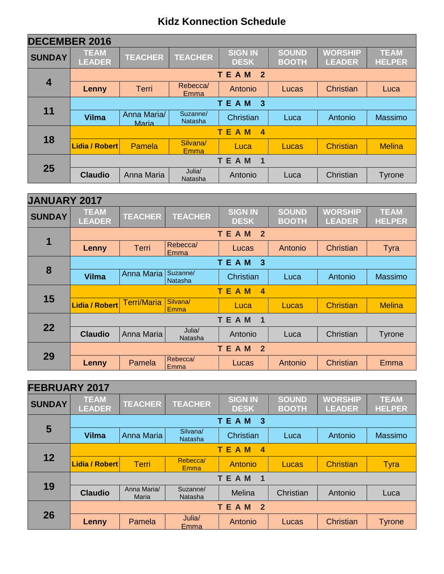| <b>DECEMBER 2016</b> |                              |                      |                            |                                           |                       |                                 |                              |  |  |
|----------------------|------------------------------|----------------------|----------------------------|-------------------------------------------|-----------------------|---------------------------------|------------------------------|--|--|
| <b>SUNDAY</b>        | <b>TEAM</b><br><b>LEADER</b> | <b>TEACHER</b>       | <b>TEACHER</b>             | <b>SIGN IN</b><br><b>DESK</b>             | SOUND<br><b>BOOTH</b> | <b>WORSHIP</b><br><b>LEADER</b> | <b>TEAM</b><br><b>HELPER</b> |  |  |
|                      |                              |                      |                            | <b>TEAM</b><br>$\overline{\phantom{0}}$ 2 |                       |                                 |                              |  |  |
| $\overline{4}$       | Lenny                        | <b>Terri</b>         | Rebecca/<br>Emma           | Antonio                                   | Lucas                 | Christian                       | Luca                         |  |  |
|                      | <b>TEAM</b><br>-3            |                      |                            |                                           |                       |                                 |                              |  |  |
| 11                   | <b>Vilma</b>                 | Anna Maria/<br>Maria | Suzanne/<br><b>Natasha</b> | Christian                                 | Luca                  | Antonio                         | Massimo                      |  |  |
|                      | <b>TEAM</b><br>4             |                      |                            |                                           |                       |                                 |                              |  |  |
| 18                   | Lidia / Robert               | Pamela               | Silvana/<br><b>Emma</b>    | Luca                                      | Lucas                 | <b>Christian</b>                | <b>Melina</b>                |  |  |
|                      |                              |                      |                            | <b>TEAM</b><br>$\overline{\mathbf{1}}$    |                       |                                 |                              |  |  |
| 25                   | <b>Claudio</b>               | Anna Maria           | Julia/<br>Natasha          | Antonio                                   | Luca                  | Christian                       | <b>Tyrone</b>                |  |  |

| <b>JANUARY 2017</b> |                                       |                    |                         |                                        |                              |                                 |                              |  |  |  |
|---------------------|---------------------------------------|--------------------|-------------------------|----------------------------------------|------------------------------|---------------------------------|------------------------------|--|--|--|
| <b>SUNDAY</b>       | <b>TEAM</b><br><b>LEADER</b>          | <b>TEACHER</b>     | <b>TEACHER</b>          | <b>SIGN IN</b><br><b>DESK</b>          | <b>SOUND</b><br><b>BOOTH</b> | <b>WORSHIP</b><br><b>LEADER</b> | <b>TEAM</b><br><b>HELPER</b> |  |  |  |
|                     |                                       |                    |                         | <b>TEAM</b><br>$\overline{2}$          |                              |                                 |                              |  |  |  |
| 1                   | Lenny                                 | <b>Terri</b>       | Rebecca/<br>Emma        | Lucas                                  | Antonio                      | Christian                       | <b>Tyra</b>                  |  |  |  |
|                     |                                       |                    |                         | <b>TEAM</b><br>3                       |                              |                                 |                              |  |  |  |
| 8                   | <b>Vilma</b>                          | Anna Maria         | Suzanne/<br>Natasha     | Christian                              | Luca                         | Antonio                         | Massimo                      |  |  |  |
|                     | TE.<br>A M<br>$\overline{\mathbf{4}}$ |                    |                         |                                        |                              |                                 |                              |  |  |  |
| 15                  | Lidia / Robert                        | <b>Terri/Maria</b> | Silvana/<br><b>Emma</b> | Luca                                   | Lucas                        | <b>Christian</b>                | <b>Melina</b>                |  |  |  |
|                     |                                       |                    |                         | <b>TEAM</b><br>$\overline{\mathbf{1}}$ |                              |                                 |                              |  |  |  |
| 22                  | <b>Claudio</b>                        | Anna Maria         | Julia/<br>Natasha       | Antonio                                | Luca                         | Christian                       | Tyrone                       |  |  |  |
|                     |                                       |                    |                         | TEAM<br>$\overline{2}$                 |                              |                                 |                              |  |  |  |
| 29                  | Lenny                                 | Pamela             | Rebecca/<br>Emma        | Lucas                                  | Antonio                      | Christian                       | Emma                         |  |  |  |

| <b>FEBRUARY 2017</b> |                              |                      |                     |                                        |                       |                                 |                              |  |  |
|----------------------|------------------------------|----------------------|---------------------|----------------------------------------|-----------------------|---------------------------------|------------------------------|--|--|
| <b>SUNDAY</b>        | <b>TEAM</b><br><b>LEADER</b> | <b>TEACHER</b>       | <b>TEACHER</b>      | <b>SIGN IN</b><br><b>DESK</b>          | SOUND<br><b>BOOTH</b> | <b>WORSHIP</b><br><b>LEADER</b> | <b>TEAM</b><br><b>HELPER</b> |  |  |
|                      |                              |                      |                     | <b>TEAM</b><br>$\overline{\mathbf{3}}$ |                       |                                 |                              |  |  |
| $5\phantom{1}$       | <b>Vilma</b>                 | Anna Maria           | Silvana/<br>Natasha | Christian                              | Luca                  | Antonio                         | Massimo                      |  |  |
|                      | TEAM<br>4                    |                      |                     |                                        |                       |                                 |                              |  |  |
| 12                   | <b>Lidia / Robert</b>        | <b>Terri</b>         | Rebecca/<br>Emma    | <b>Antonio</b>                         | Lucas                 | <b>Christian</b>                | Tyra                         |  |  |
|                      | TEAM<br>1                    |                      |                     |                                        |                       |                                 |                              |  |  |
| 19                   | <b>Claudio</b>               | Anna Maria/<br>Maria | Suzanne/<br>Natasha | Melina                                 | Christian             | Antonio                         | Luca                         |  |  |
| 26                   |                              |                      |                     | TEAM<br>$\overline{2}$                 |                       |                                 |                              |  |  |
|                      | Lenny                        | Pamela               | Julia/<br>Emma      | Antonio                                | Lucas                 | Christian                       | <b>Tyrone</b>                |  |  |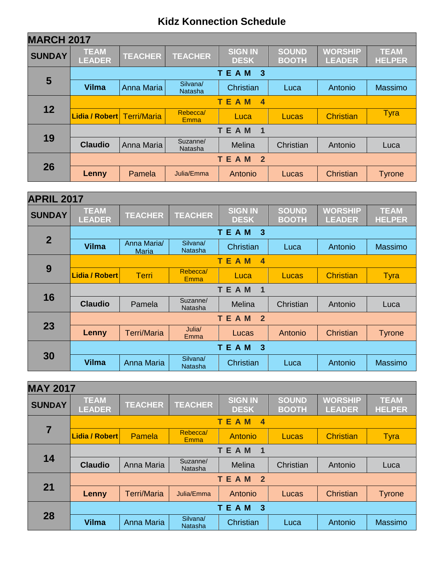| <b>MARCH 2017</b> |                              |                    |                     |                                 |                       |                                 |                              |  |  |  |
|-------------------|------------------------------|--------------------|---------------------|---------------------------------|-----------------------|---------------------------------|------------------------------|--|--|--|
| <b>SUNDAY</b>     | <b>TEAM</b><br><b>LEADER</b> | <b>TEACHER</b>     | <b>TEACHER</b>      | <b>SIGN IN</b><br><b>DESK</b>   | SOUND<br><b>BOOTH</b> | <b>WORSHIP</b><br><b>LEADER</b> | <b>TEAM</b><br><b>HELPER</b> |  |  |  |
|                   |                              |                    |                     | TEAM<br>$\mathbf{3}$            |                       |                                 |                              |  |  |  |
| 5                 | <b>Vilma</b>                 | Anna Maria         | Silvana/<br>Natasha | Christian                       | Luca                  | Antonio                         | Massimo                      |  |  |  |
|                   | TE.<br>A M<br>4              |                    |                     |                                 |                       |                                 |                              |  |  |  |
| 12                | Lidia / Robert               | <b>Terri/Maria</b> | Rebecca/<br>Emma    | Luca                            | Lucas                 | <b>Christian</b>                | <b>Tyra</b>                  |  |  |  |
|                   | <b>TEAM</b><br>1             |                    |                     |                                 |                       |                                 |                              |  |  |  |
| 19                | <b>Claudio</b>               | Anna Maria         | Suzanne/<br>Natasha | Melina                          | Christian             | Antonio                         | Luca                         |  |  |  |
|                   |                              |                    |                     | TEAM<br>$\overline{\mathbf{2}}$ |                       |                                 |                              |  |  |  |
| 26                | <b>Lenny</b>                 | Pamela             | Julia/Emma          | Antonio                         | Lucas                 | Christian                       | <b>Tyrone</b>                |  |  |  |

| <b>APRIL 2017</b> |                                        |                             |                            |                                        |                              |                                 |                              |  |  |  |
|-------------------|----------------------------------------|-----------------------------|----------------------------|----------------------------------------|------------------------------|---------------------------------|------------------------------|--|--|--|
| <b>SUNDAY</b>     | <b>TEAM</b><br><b>LEADER</b>           | <b>TEACHER</b>              | <b>TEACHER</b>             | <b>SIGN IN</b><br><b>DESK</b>          | <b>SOUND</b><br><b>BOOTH</b> | <b>WORSHIP</b><br><b>LEADER</b> | <b>TEAM</b><br><b>HELPER</b> |  |  |  |
|                   |                                        |                             |                            | <b>TEAM</b><br>$\overline{\mathbf{3}}$ |                              |                                 |                              |  |  |  |
| $\overline{2}$    | <b>Vilma</b>                           | Anna Maria/<br><b>Maria</b> | Silvana/<br><b>Natasha</b> | Christian                              | Luca                         | Antonio                         | Massimo                      |  |  |  |
|                   |                                        |                             |                            | T E<br>A M<br>$\overline{\mathbf{4}}$  |                              |                                 |                              |  |  |  |
| 9                 | <b>Lidia / Robert</b>                  | <b>Terri</b>                | Rebecca/<br><b>Emma</b>    | Luca                                   | Lucas                        | <b>Christian</b>                | <b>Tyra</b>                  |  |  |  |
|                   | <b>TEAM</b><br>$\overline{\mathbf{1}}$ |                             |                            |                                        |                              |                                 |                              |  |  |  |
| 16                | <b>Claudio</b>                         | Pamela                      | Suzanne/<br>Natasha        | Melina                                 | Christian                    | Antonio                         | Luca                         |  |  |  |
|                   |                                        |                             |                            | TEAM<br>$\overline{\mathbf{2}}$        |                              |                                 |                              |  |  |  |
| 23                | Lenny                                  | <b>Terri/Maria</b>          | Julia/<br>Emma             | Lucas                                  | Antonio                      | Christian                       | <b>Tyrone</b>                |  |  |  |
|                   |                                        |                             |                            | <b>TEAM</b><br>-3                      |                              |                                 |                              |  |  |  |
| 30                | <b>Vilma</b>                           | <b>Anna Maria</b>           | Silvana/<br><b>Natasha</b> | Christian                              | Luca                         | Antonio                         | <b>Massimo</b>               |  |  |  |

| <b>MAY 2017</b>         |                              |                    |                            |                                                         |                              |                                 |                              |  |  |
|-------------------------|------------------------------|--------------------|----------------------------|---------------------------------------------------------|------------------------------|---------------------------------|------------------------------|--|--|
| <b>SUNDAY</b>           | <b>TEAM</b><br><b>LEADER</b> | <b>TEACHER</b>     | <b>TEACHER</b>             | <b>SIGN IN</b><br><b>DESK</b>                           | <b>SOUND</b><br><b>BOOTH</b> | <b>WORSHIP</b><br><b>LEADER</b> | <b>TEAM</b><br><b>HELPER</b> |  |  |
|                         |                              |                    |                            | M<br>T E<br>$\overline{\mathbf{4}}$<br>$\blacktriangle$ |                              |                                 |                              |  |  |
| $\overline{\mathbf{7}}$ | Lidia / Robert               | Pamela             | Rebecca/<br><b>Emma</b>    | Antonio                                                 | Lucas                        | Christian                       | <b>Tyra</b>                  |  |  |
|                         | TEAM<br>1                    |                    |                            |                                                         |                              |                                 |                              |  |  |
| 14                      | <b>Claudio</b>               | Anna Maria         | Suzanne/<br>Natasha        | Melina                                                  | Christian                    | Antonio                         | Luca                         |  |  |
|                         | TEAM<br>$\mathbf{2}$         |                    |                            |                                                         |                              |                                 |                              |  |  |
| 21                      | Lenny                        | <b>Terri/Maria</b> | Julia/Emma                 | Antonio                                                 | Lucas                        | Christian                       | <b>Tyrone</b>                |  |  |
| 28                      |                              |                    |                            | -3<br><b>TEAM</b>                                       |                              |                                 |                              |  |  |
|                         | <b>Vilma</b>                 | <b>Anna Maria</b>  | Silvana/<br><b>Natasha</b> | Christian                                               | Luca                         | Antonio                         | Massimo                      |  |  |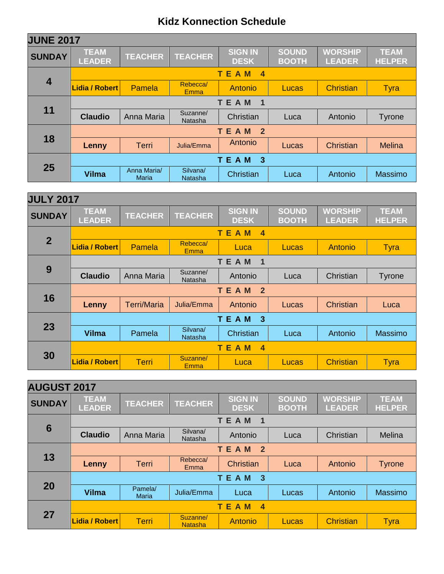| <b>JUNE 2017</b>        |                               |                             |                            |                               |                       |                                 |                              |  |  |
|-------------------------|-------------------------------|-----------------------------|----------------------------|-------------------------------|-----------------------|---------------------------------|------------------------------|--|--|
| <b>SUNDAY</b>           | <b>TEAM</b><br><b>LEADER</b>  | <b>TEACHER</b>              | <b>TEACHER</b>             | <b>SIGN IN</b><br><b>DESK</b> | SOUND<br><b>BOOTH</b> | <b>WORSHIP</b><br><b>LEADER</b> | <b>TEAM</b><br><b>HELPER</b> |  |  |
|                         |                               |                             |                            | TEAM<br>$\overline{4}$        |                       |                                 |                              |  |  |
| $\overline{\mathbf{4}}$ | Lidia / Robert                | Pamela                      | Rebecca/<br>Emma           | Antonio                       | Lucas                 | <b>Christian</b>                | <b>Tyra</b>                  |  |  |
|                         | TEAM<br>1                     |                             |                            |                               |                       |                                 |                              |  |  |
| 11                      | <b>Claudio</b>                | Anna Maria                  | Suzanne/<br><b>Natasha</b> | Christian                     | Luca                  | Antonio                         | Tyrone                       |  |  |
|                         | <b>TEAM</b><br>$\overline{2}$ |                             |                            |                               |                       |                                 |                              |  |  |
| 18                      | Lenny                         | <b>Terri</b>                | Julia/Emma                 | Antonio                       | Lucas                 | Christian                       | <b>Melina</b>                |  |  |
| 25                      |                               |                             |                            | <b>TEAM</b><br>$\overline{3}$ |                       |                                 |                              |  |  |
|                         | <b>Vilma</b>                  | Anna Maria/<br><b>Maria</b> | Silvana/<br>Natasha        | Christian                     | Luca                  | Antonio                         | Massimo                      |  |  |

| <b>JULY 2017</b> |                               |                    |                            |                                        |                              |                                 |                              |  |  |
|------------------|-------------------------------|--------------------|----------------------------|----------------------------------------|------------------------------|---------------------------------|------------------------------|--|--|
| <b>SUNDAY</b>    | <b>TEAM</b><br><b>LEADER</b>  | <b>TEACHER</b>     | <b>TEACHER</b>             | <b>SIGN IN</b><br><b>DESK</b>          | <b>SOUND</b><br><b>BOOTH</b> | <b>WORSHIP</b><br><b>LEADER</b> | <b>TEAM</b><br><b>HELPER</b> |  |  |
|                  |                               |                    |                            | TE.<br>A M<br>$\overline{4}$           |                              |                                 |                              |  |  |
| $\overline{2}$   | Lidia / Robert                | <b>Pamela</b>      | Rebecca/<br><b>Emma</b>    | Luca                                   | Lucas                        | Antonio                         | <b>Tyra</b>                  |  |  |
|                  |                               |                    |                            | <b>TEAM</b><br>$\overline{\mathbf{1}}$ |                              |                                 |                              |  |  |
| 9                | <b>Claudio</b>                | Anna Maria         | Suzanne/<br>Natasha        | Antonio                                | Luca                         | Christian                       | Tyrone                       |  |  |
|                  | <b>TEAM</b><br>$\overline{2}$ |                    |                            |                                        |                              |                                 |                              |  |  |
| 16               | Lenny                         | <b>Terri/Maria</b> | Julia/Emma                 | Antonio                                | Lucas                        | Christian                       | Luca                         |  |  |
|                  |                               |                    |                            | <b>TEAM</b><br>$\mathbf{3}$            |                              |                                 |                              |  |  |
| 23               | <b>Vilma</b>                  | Pamela             | Silvana/<br><b>Natasha</b> | Christian                              | Luca                         | Antonio                         | Massimo                      |  |  |
|                  |                               |                    |                            | <b>TEAM</b><br>$\boldsymbol{4}$        |                              |                                 |                              |  |  |
| 30               | <b>Lidia / Robert</b>         | <b>Terri</b>       | Suzanne/<br>Emma           | Luca                                   | Lucas                        | <b>Christian</b>                | <b>Tyra</b>                  |  |  |

| <b>AUGUST 2017</b> |                              |                         |                            |                               |                              |                                 |                              |  |  |
|--------------------|------------------------------|-------------------------|----------------------------|-------------------------------|------------------------------|---------------------------------|------------------------------|--|--|
| <b>SUNDAY</b>      | <b>TEAM</b><br><b>LEADER</b> | <b>TEACHER</b>          | <b>TEACHER</b>             | <b>SIGN IN</b><br><b>DESK</b> | <b>SOUND</b><br><b>BOOTH</b> | <b>WORSHIP</b><br><b>LEADER</b> | <b>TEAM</b><br><b>HELPER</b> |  |  |
|                    |                              |                         |                            | <b>TEAM</b><br>1              |                              |                                 |                              |  |  |
| 6                  | <b>Claudio</b>               | Anna Maria              | Silvana/<br>Natasha        | Antonio                       | Luca                         | Christian                       | Melina                       |  |  |
|                    | <b>TEAM</b><br>$\mathbf{2}$  |                         |                            |                               |                              |                                 |                              |  |  |
| 13                 | Lenny                        | <b>Terri</b>            | Rebecca/<br>Emma           | Christian                     | Luca                         | Antonio                         | <b>Tyrone</b>                |  |  |
|                    | TEAM<br>$\overline{3}$       |                         |                            |                               |                              |                                 |                              |  |  |
| 20                 | <b>Vilma</b>                 | Pamela/<br><b>Maria</b> | Julia/Emma                 | Luca                          | Lucas                        | Antonio                         | Massimo                      |  |  |
| 27                 |                              |                         |                            | <b>TEAM</b><br>$\overline{4}$ |                              |                                 |                              |  |  |
|                    | <b>Lidia / Robert</b>        | Terri                   | Suzanne/<br><b>Natasha</b> | <b>Antonio</b>                | <b>Lucas</b>                 | <b>Christian</b>                | <b>Tyra</b>                  |  |  |